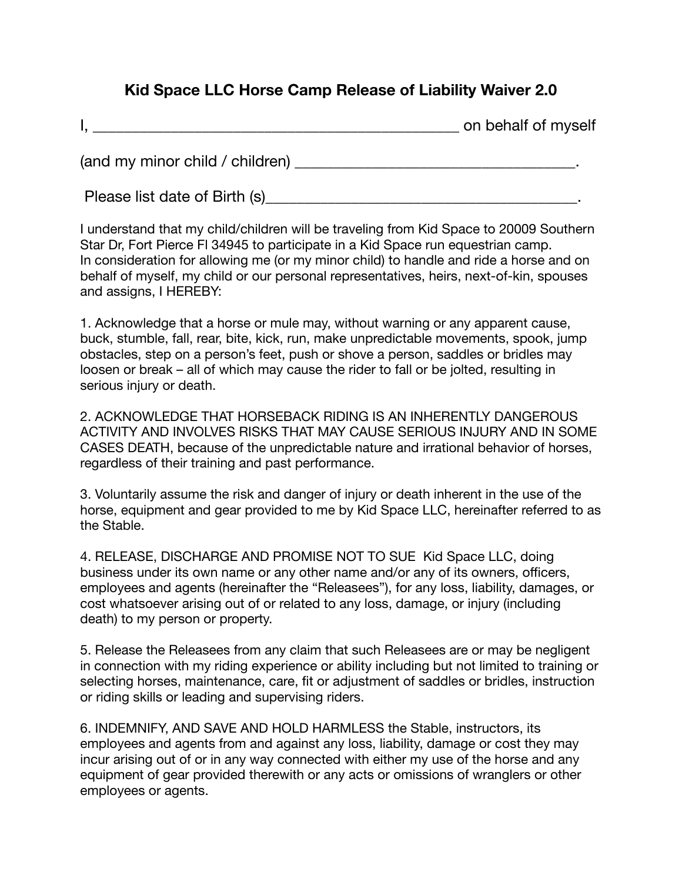## **Kid Space LLC Horse Camp Release of Liability Waiver 2.0**

|  | on behalf of myself |  |
|--|---------------------|--|
|--|---------------------|--|

(and my minor child / children) \_\_\_\_\_\_\_\_\_\_\_\_\_\_\_\_\_\_\_\_\_\_\_\_\_\_\_\_\_\_\_\_\_\_\_\_.

Please list date of Birth (s) example the state of  $\mathsf{Birth}$  (s)

I understand that my child/children will be traveling from Kid Space to 20009 Southern Star Dr, Fort Pierce Fl 34945 to participate in a Kid Space run equestrian camp. In consideration for allowing me (or my minor child) to handle and ride a horse and on behalf of myself, my child or our personal representatives, heirs, next-of-kin, spouses and assigns, I HEREBY:

1. Acknowledge that a horse or mule may, without warning or any apparent cause, buck, stumble, fall, rear, bite, kick, run, make unpredictable movements, spook, jump obstacles, step on a person's feet, push or shove a person, saddles or bridles may loosen or break – all of which may cause the rider to fall or be jolted, resulting in serious injury or death.

2. ACKNOWLEDGE THAT HORSEBACK RIDING IS AN INHERENTLY DANGEROUS ACTIVITY AND INVOLVES RISKS THAT MAY CAUSE SERIOUS INJURY AND IN SOME CASES DEATH, because of the unpredictable nature and irrational behavior of horses, regardless of their training and past performance.

3. Voluntarily assume the risk and danger of injury or death inherent in the use of the horse, equipment and gear provided to me by Kid Space LLC, hereinafter referred to as the Stable.

4. RELEASE, DISCHARGE AND PROMISE NOT TO SUE Kid Space LLC, doing business under its own name or any other name and/or any of its owners, officers, employees and agents (hereinafter the "Releasees"), for any loss, liability, damages, or cost whatsoever arising out of or related to any loss, damage, or injury (including death) to my person or property.

5. Release the Releasees from any claim that such Releasees are or may be negligent in connection with my riding experience or ability including but not limited to training or selecting horses, maintenance, care, fit or adjustment of saddles or bridles, instruction or riding skills or leading and supervising riders.

6. INDEMNIFY, AND SAVE AND HOLD HARMLESS the Stable, instructors, its employees and agents from and against any loss, liability, damage or cost they may incur arising out of or in any way connected with either my use of the horse and any equipment of gear provided therewith or any acts or omissions of wranglers or other employees or agents.